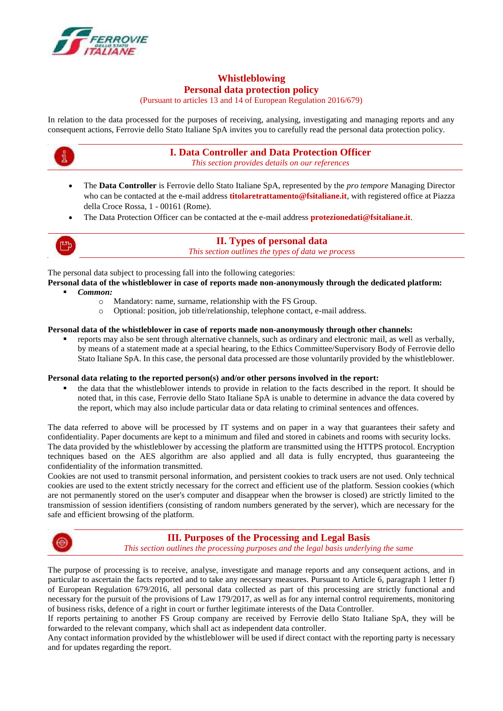

# **Whistleblowing Personal data protection policy**

(Pursuant to articles 13 and 14 of European Regulation 2016/679)

In relation to the data processed for the purposes of receiving, analysing, investigating and managing reports and any consequent actions, Ferrovie dello Stato Italiane SpA invites you to carefully read the personal data protection policy.



# **I. Data Controller and Data Protection Officer**

*This section provides details on our references*

- The **Data Controller** is Ferrovie dello Stato Italiane SpA, represented by the *pro tempore* Managing Director who can be contacted at the e-mail address **[titolaretrattamento@fsitaliane.it](mailto:titolaretrattamento@fsitaliane.it)**, with registered office at Piazza della Croce Rossa, 1 - 00161 (Rome).
- The Data Protection Officer can be contacted at the e-mail address **[protezionedati@fsitaliane.it](mailto:protezionedati@fsitaliane.it)**.



# **II. Types of personal data**

*This section outlines the types of data we process*

The personal data subject to processing fall into the following categories:

- **Personal data of the whistleblower in case of reports made non-anonymously through the dedicated platform:** *Common:*
	- o Mandatory: name, surname, relationship with the FS Group.
	- o Optional: position, job title/relationship, telephone contact, e-mail address.

### **Personal data of the whistleblower in case of reports made non-anonymously through other channels:**

 reports may also be sent through alternative channels, such as ordinary and electronic mail, as well as verbally, by means of a statement made at a special hearing, to the Ethics Committee/Supervisory Body of Ferrovie dello Stato Italiane SpA. In this case, the personal data processed are those voluntarily provided by the whistleblower.

#### **Personal data relating to the reported person(s) and/or other persons involved in the report:**

 the data that the whistleblower intends to provide in relation to the facts described in the report. It should be noted that, in this case, Ferrovie dello Stato Italiane SpA is unable to determine in advance the data covered by the report, which may also include particular data or data relating to criminal sentences and offences.

The data referred to above will be processed by IT systems and on paper in a way that guarantees their safety and confidentiality. Paper documents are kept to a minimum and filed and stored in cabinets and rooms with security locks. The data provided by the whistleblower by accessing the platform are transmitted using the HTTPS protocol. Encryption techniques based on the AES algorithm are also applied and all data is fully encrypted, thus guaranteeing the confidentiality of the information transmitted.

Cookies are not used to transmit personal information, and persistent cookies to track users are not used. Only technical cookies are used to the extent strictly necessary for the correct and efficient use of the platform. Session cookies (which are not permanently stored on the user's computer and disappear when the browser is closed) are strictly limited to the transmission of session identifiers (consisting of random numbers generated by the server), which are necessary for the safe and efficient browsing of the platform.



### **III. Purposes of the Processing and Legal Basis**

*This section outlines the processing purposes and the legal basis underlying the same*

The purpose of processing is to receive, analyse, investigate and manage reports and any consequent actions, and in particular to ascertain the facts reported and to take any necessary measures. Pursuant to Article 6, paragraph 1 letter f) of European Regulation 679/2016, all personal data collected as part of this processing are strictly functional and necessary for the pursuit of the provisions of Law 179/2017, as well as for any internal control requirements, monitoring of business risks, defence of a right in court or further legitimate interests of the Data Controller.

If reports pertaining to another FS Group company are received by Ferrovie dello Stato Italiane SpA, they will be forwarded to the relevant company, which shall act as independent data controller.

Any contact information provided by the whistleblower will be used if direct contact with the reporting party is necessary and for updates regarding the report.